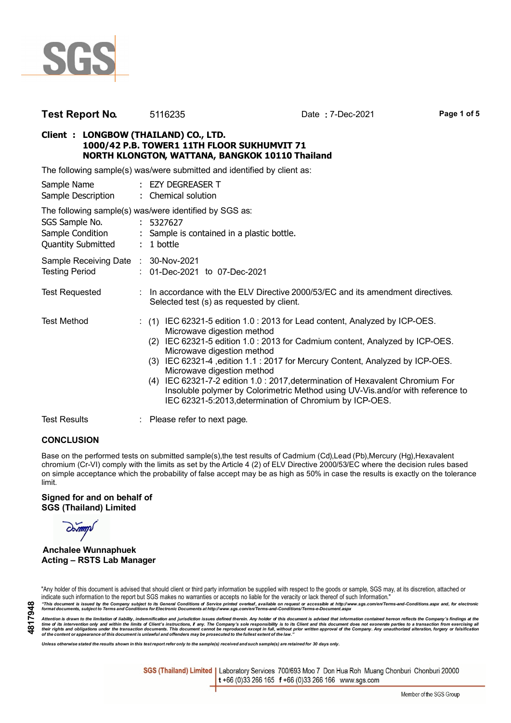

| Test Report No. | 5116235 |
|-----------------|---------|
|-----------------|---------|

**Test Report No.** 5116235 Date **:** 7-Dec-2021 **Page 1 of 5**

# **Client : LONGBOW (THAILAND) CO., LTD. 1000/42 P.B. TOWER1 11TH FLOOR SUKHUMVIT 71 NORTH KLONGTON, WATTANA, BANGKOK 10110 Thailand**

The following sample(s) was/were submitted and identified by client as:

| Sample Name<br>Sample Description                               | : EZY DEGREASER T<br>: Chemical solution                                                                                                                                                                                                                                                                                                                                                                                                                                                                                                                                       |
|-----------------------------------------------------------------|--------------------------------------------------------------------------------------------------------------------------------------------------------------------------------------------------------------------------------------------------------------------------------------------------------------------------------------------------------------------------------------------------------------------------------------------------------------------------------------------------------------------------------------------------------------------------------|
| SGS Sample No.<br>Sample Condition<br><b>Quantity Submitted</b> | The following sample(s) was/were identified by SGS as:<br>: 5327627<br>: Sample is contained in a plastic bottle.<br>$: 1$ bottle                                                                                                                                                                                                                                                                                                                                                                                                                                              |
| Sample Receiving Date : 30-Nov-2021<br><b>Testing Period</b>    | : 01-Dec-2021 to 07-Dec-2021                                                                                                                                                                                                                                                                                                                                                                                                                                                                                                                                                   |
| <b>Test Requested</b>                                           | In accordance with the ELV Directive 2000/53/EC and its amendment directives.<br>Selected test (s) as requested by client.                                                                                                                                                                                                                                                                                                                                                                                                                                                     |
| <b>Test Method</b>                                              | $(1)$ IEC 62321-5 edition 1.0 : 2013 for Lead content, Analyzed by ICP-OES.<br>Microwave digestion method<br>IEC 62321-5 edition 1.0 : 2013 for Cadmium content, Analyzed by ICP-OES.<br>(2)<br>Microwave digestion method<br>IEC 62321-4, edition 1.1 : 2017 for Mercury Content, Analyzed by ICP-OES.<br>(3)<br>Microwave digestion method<br>IEC 62321-7-2 edition 1.0 : 2017, determination of Hexavalent Chromium For<br>(4)<br>Insoluble polymer by Colorimetric Method using UV-Vis.and/or with reference to<br>IEC 62321-5:2013, determination of Chromium by ICP-OES. |
| <b>Test Results</b>                                             | : Please refer to next page.                                                                                                                                                                                                                                                                                                                                                                                                                                                                                                                                                   |

## **CONCLUSION**

Base on the performed tests on submitted sample(s),the test results of Cadmium (Cd),Lead (Pb),Mercury (Hg),Hexavalent chromium (Cr-VI) comply with the limits as set by the Article 4 (2) of ELV Directive 2000/53/EC where the decision rules based on simple acceptance which the probability of false accept may be as high as 50% in case the results is exactly on the tolerance limit.

#### **Signed for and on behalf of SGS (Thailand) Limited**

## **Anchalee Wunnaphuek Acting – RSTS Lab Manager**

"Any holder of this document is advised that should client or third party information be supplied with respect to the goods or sample, SGS may, at its discretion, attached or indicate such information to the report but SGS makes no warranties or accepts no liable for the veracity or lack thereof of such Information."

"This document is issued by the Company subject to its General Conditions of Service printed overleaf, available on request or accessible at http://www.sgs.com/en/Terms-and-Conditions.aspx and, for electronic<br>format docume

Attention is drawn to the limitation of liability, indemnification and jurisdiction issues defined therein. Any holder of this document is advised that information contained hereon reflects the Company's findings at the<br>th

*Unless otherwise stated the results shown in this test report refer only to the sample(s) received and such sample(s) are retained for 30 days only.*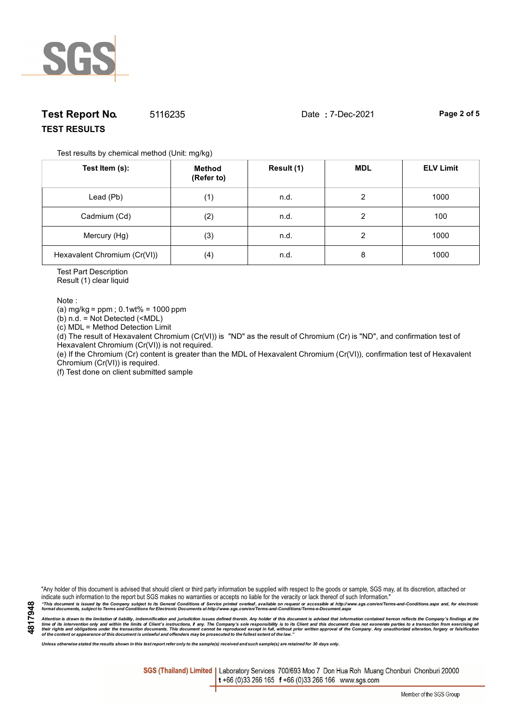

# **Test Report No.** 5116235 Date **:** 7-Dec-2021 **Page 2 of 5 TEST RESULTS**

Test results by chemical method (Unit: mg/kg)

| Test Item (s):               | Method<br>(Refer to) | Result (1) | <b>MDL</b> | <b>ELV Limit</b> |
|------------------------------|----------------------|------------|------------|------------------|
| Lead (Pb)                    | (1)                  | n.d.       | 2          | 1000             |
| Cadmium (Cd)                 | (2)                  | n.d.       | 2          | 100              |
| Mercury (Hg)                 | (3)                  | n.d.       | ◠          | 1000             |
| Hexavalent Chromium (Cr(VI)) | (4)                  | n.d.       | 8          | 1000             |

Test Part Description

Result (1) clear liquid

Note :

(a)  $mg/kg = ppm$ ; 0.1wt% = 1000 ppm

(b) n.d. = Not Detected (<MDL)

(c) MDL = Method Detection Limit

(d) The result of Hexavalent Chromium (Cr(VI)) is "ND" as the result of Chromium (Cr) is "ND", and confirmation test of Hexavalent Chromium (Cr(VI)) is not required.

(e) If the Chromium (Cr) content is greater than the MDL of Hexavalent Chromium (Cr(VI)), confirmation test of Hexavalent Chromium (Cr(VI)) is required.

(f) Test done on client submitted sample

"Any holder of this document is advised that should client or third party information be supplied with respect to the goods or sample, SGS may, at its discretion, attached or indicate such information to the report but SGS makes no warranties or accepts no liable for the veracity or lack thereof of such Information."

"This document is issued by the Company subject to its General Conditions of Service printed overleaf, available on request or accessible at http://www.sgs.com/en/Terms-and-Conditions.aspx and, for electronic<br>format docume

Attention is drawn to the limitation of liability, indemnification and jurisdiction issues defined therein. Any holder of this document is advised that information contained hereon reflects the Company's findings at the<br>th

*Unless otherwise stated the results shown in this test report refer only to the sample(s) received and such sample(s) are retained for 30 days only.*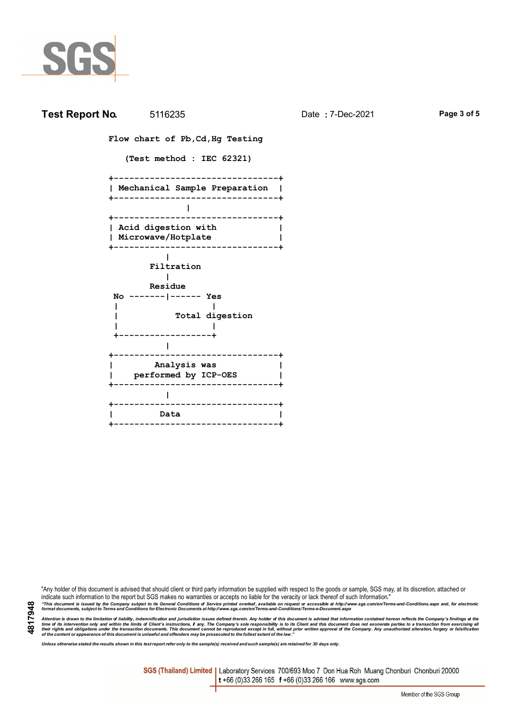

| <b>Test Report No.</b> 5116235                                                              | Date: 7-Dec-2021 | Page 3 of 5 |
|---------------------------------------------------------------------------------------------|------------------|-------------|
| Flow chart of Pb, Cd, Hg Testing                                                            |                  |             |
| (Test method : IEC 62321)                                                                   |                  |             |
| ---------------------+<br>Mechanical Sample Preparation  <br>------------------------------ |                  |             |
|                                                                                             |                  |             |
| Acid digestion with<br>Microwave/Hotplate                                                   |                  |             |
| Filtration                                                                                  |                  |             |
| Residue                                                                                     |                  |             |
| No ------- ------ Yes<br>Total digestion                                                    |                  |             |
|                                                                                             |                  |             |
| Analysis was<br>performed by ICP-OES                                                        |                  |             |
|                                                                                             |                  |             |
| Data                                                                                        |                  |             |
|                                                                                             |                  |             |

"Any holder of this document is advised that should client or third party information be supplied with respect to the goods or sample, SGS may, at its discretion, attached or indicate such information to the report but SGS makes no warranties or accepts no liable for the veracity or lack thereof of such Information."

"This document is issued by the Company subject to its General Conditions of Service printed overleaf, available on request or accessible at http://www.sgs.com/en/Terms-and-Conditions.aspx and, for electronic<br>format docume

Attention is drawn to the limitation of liability, indemnification and jurisdiction issues defined therein. Any holder of this document is advised that information contained hereon reflects the Company's findings at the<br>th

*Unless otherwise stated the results shown in this test report refer only to the sample(s) received and such sample(s) are retained for 30 days only.*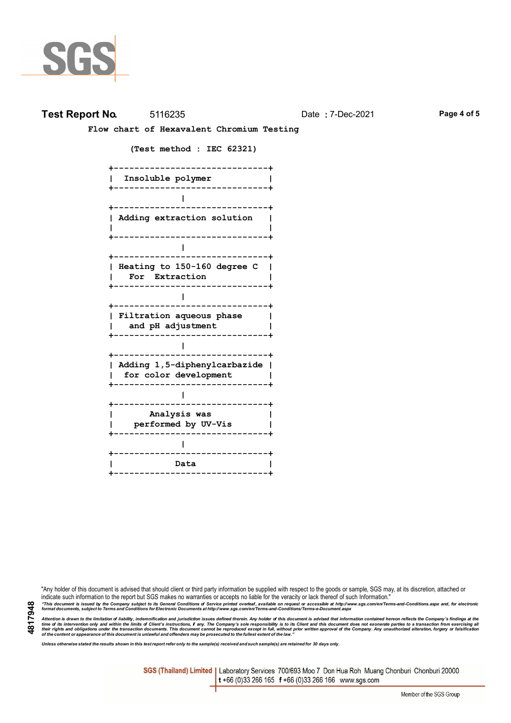

## **Test Report No.** 5116235 Date **:** 7-Dec-2021 **Page 4 of 5**

 **Flow chart of Hexavalent Chromium Testing**

 **(Test method : IEC 62321)**

 **+------------------------------+ | Insoluble polymer | +------------------------------+ | +------------------------------+ | Adding extraction solution | | | +------------------------------+ | +------------------------------+ | Heating to 150-160 degree C | | For Extraction | +------------------------------+ | +------------------------------+ | Filtration aqueous phase | | and pH adjustment | +------------------------------+ | +------------------------------+ | Adding 1,5-diphenylcarbazide | | for color development | +------------------------------+ | +------------------------------+ | Analysis was | | performed by UV-Vis | +------------------------------+ | +------------------------------+ | Data | +------------------------------+**

"Any holder of this document is advised that should client or third party information be supplied with respect to the goods or sample, SGS may, at its discretion, attached or indicate such information to the report but SGS makes no warranties or accepts no liable for the veracity or lack thereof of such Information." "This document is issued by the Company subject to its General Conditions of Service printed overleaf, available on request or accessible at http://www.sgs.com/en/Terms-and-Conditions.aspx and, for electronic<br>format docume

Attention is drawn to the limitation of liability, indemnification and jurisdiction issues defined therein. Any holder of this document is advised that information contained hereon reflects the Company's findings at the<br>th

*Unless otherwise stated the results shown in this test report refer only to the sample(s) received and such sample(s) are retained for 30 days only.*